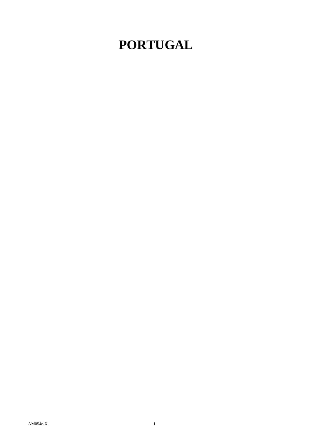## **PORTUGAL**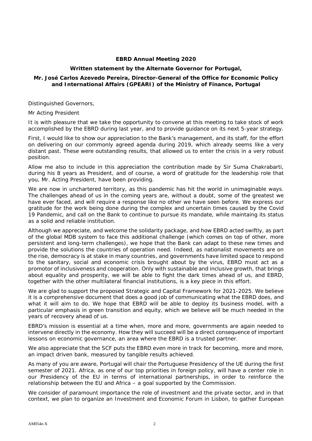## **EBRD Annual Meeting 2020**

## **Written statement by the Alternate Governor for Portugal,**

## **Mr. José Carlos Azevedo Pereira, Director-General of the Office for Economic Policy and International Affairs (GPEARI) of the Ministry of Finance, Portugal**

Distinguished Governors,

Mr Acting President

It is with pleasure that we take the opportunity to convene at this meeting to take stock of work accomplished by the EBRD during last year, and to provide guidance on its next 5-year strategy.

First, I would like to show our appreciation to the Bank's management, and its staff, for the effort on delivering on our commonly agreed agenda during 2019, which already seems like a very distant past. These were outstanding results, that allowed us to enter the crisis in a very robust position.

Allow me also to include in this appreciation the contribution made by Sir Suma Chakrabarti, during his 8 years as President, and of course, a word of gratitude for the leadership role that you, Mr. Acting President, have been providing.

We are now in unchartered territory, as this pandemic has hit the world in unimaginable ways. The challenges ahead of us in the coming years are, without a doubt, some of the greatest we have ever faced, and will require a response like no other we have seen before. We express our gratitude for the work being done during the complex and uncertain times caused by the Covid 19 Pandemic, and call on the Bank to continue to pursue its mandate, while maintaing its status as a solid and reliable institution.

Although we appreciate, and welcome the solidarity package, and how EBRD acted swiftly, as part of the global MDB system to face this additional challenge (which comes on top of other, more persistent and long-term challenges), we hope that the Bank can adapt to these new times and provide the solutions the countries of operation need. Indeed, as nationalist movements are on the rise, democracy is at stake in many countries, and governments have limited space to respond to the sanitary, social and economic crisis brought about by the virus, EBRD must act as a promotor of inclusiveness and cooperation. Only with sustainable and inclusive growth, that brings about equality and prosperity, we will be able to fight the dark times ahead of us, and EBRD, together with the other multilateral financial institutions, is a key piece in this effort.

We are glad to support the proposed Strategic and Capital Framework for 2021-2025. We believe it is a comprehensive document that does a good job of communicating what the EBRD does, and what it will aim to do. We hope that EBRD will be able to deploy its business model, with a particular emphasis in green transition and equity, which we believe will be much needed in the years of recovery ahead of us.

EBRD's mission is essential at a time when, more and more, governments are again needed to intervene directly in the economy. How they will succeed will be a direct consequence of important lessons on economic governance, an area where the EBRD is a trusted partner.

We also appreciate that the SCF puts the EBRD even more in track for becoming, more and more, an impact driven bank, measured by tangible results achieved.

As many of you are aware, Portugal will chair the Portuguese Presidency of the UE during the first semester of 2021. Africa, as one of our top priorities in foreign policy, will have a center role in our Presidency of the EU in terms of international partnerships, in order to reinforce the relationship between the EU and Africa – a goal supported by the Commission.

We consider of paramount importance the role of investment and the private sector, and in that context, we plan to organize an Investment and Economic Forum in Lisbon, to gather European